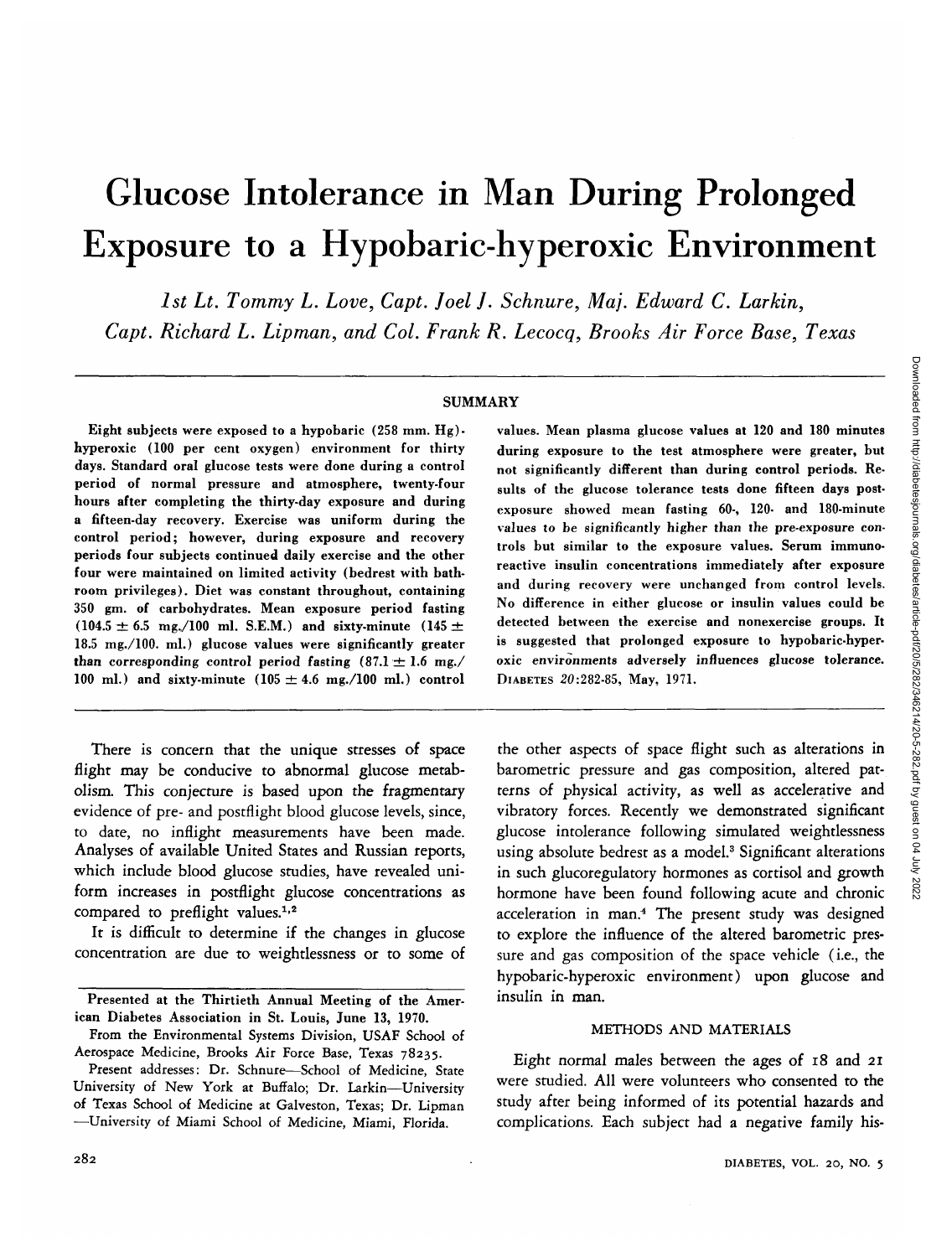# Glucose Intolerance in Man During Prolonged Exposure to a Hypobaric-hyperoxic Environment

*1st Lt. Tommy L. Love, Capt. Joel J. Schnure, Ma]. Edward C. Larkin,*

*Capt. Richard L. Lipman, and Col. Frank R. Lecocq, Brooks Air Force Base, Texas*

#### SUMMARY

Eight subjects were exposed to a hypobaric (258 mm. Hg) hyperoxic (100 per cent oxygen) environment for thirty days. Standard oral glucose tests were done during a control period of normal pressure and atmosphere, twenty-four hours after completing the thirty-day exposure and during a fifteen-day recovery. Exercise was uniform during the control period; however, during exposure and recovery periods four subjects continued daily exercise and the other four were maintained on limited activity (bedrest with bathroom privileges). Diet was constant throughout, containing 350 gm. of carbohydrates. Mean exposure period fasting  $(104.5 \pm 6.5 \text{ mg} / 100 \text{ ml. S.E.M.})$  and sixty-minute  $(145 \pm 10^{-10})$ 18.5 mg./lOO. ml.) glucose values were significantly greater than corresponding control period fasting  $(87.1 \pm 1.6 \text{ mg.})$ 100 ml.) and sixty-minute  $(105 \pm 4.6 \text{ mg.}/100 \text{ ml.})$  control

There is concern that the unique stresses of space flight may be conducive to abnormal glucose metabolism. This conjecture is based upon the fragmentary evidence of pre- and postflight blood glucose levels, since, to date, no inflight measurements have been made. Analyses of available United States and Russian reports, which include blood glucose studies, have revealed uniform increases in postflight glucose concentrations as compared to preflight values.<sup>1,2</sup>

It is difficult to determine if the changes in glucose concentration are due to weightlessness or to some of values. Mean plasma glucose values at 120 and 180 minutes during exposure to the test atmosphere were greater, but not significantly different than during control periods. Results of the glucose tolerance tests done fifteen days postexposure showed mean fasting 60-, 120- and 180-minute values to be significantly higher than the pre-exposure controls but similar to the exposure values. Serum immunoreactive insulin concentrations immediately after exposure and during recovery were unchanged from control levels. No difference in either glucose or insulin values could be detected between the exercise and nonexercise groups. It is suggested that prolonged exposure to hypobaric-hyperoxic environments adversely influences glucose tolerance. DIABETES 20:282-85, May, 1971.

the other aspects of space flight such as alterations in barometric pressure and gas composition, altered patterns of physical activity, as well as accelerative and vibratory forces. Recently we demonstrated significant glucose intolerance following simulated weightlessness using absolute bedrest as a model.<sup>3</sup> Significant alterations in such glucoregulatory hormones as cortisol and growth hormone have been found following acute and chronic acceleration in man.4 The present study was designed to explore the influence of the altered barometric pressure and gas composition of the space vehicle (i.e., the hypobaric-hyperoxic environment) upon glucose and insulin in man.

## METHODS AND MATERIALS

Eight normal males between the ages of 18 and 21 were studied. All were volunteers who consented to the study after being informed of its potential hazards and complications. Each subject had a negative family his-

Presented at the Thirtieth Annual Meeting of the American Diabetes Association in St. Louis, June 13, 1970.

From the Environmental Systems Division, USAF School of Aerospace Medicine, Brooks Air Force Base, Texas 78235.

Present addresses: Dr. Schnure—School of Medicine, State University of New York at Buffalo; Dr. Larkin—University of Texas School of Medicine at Galveston, Texas; Dr. Lipman —University of Miami School of Medicine, Miami, Florida.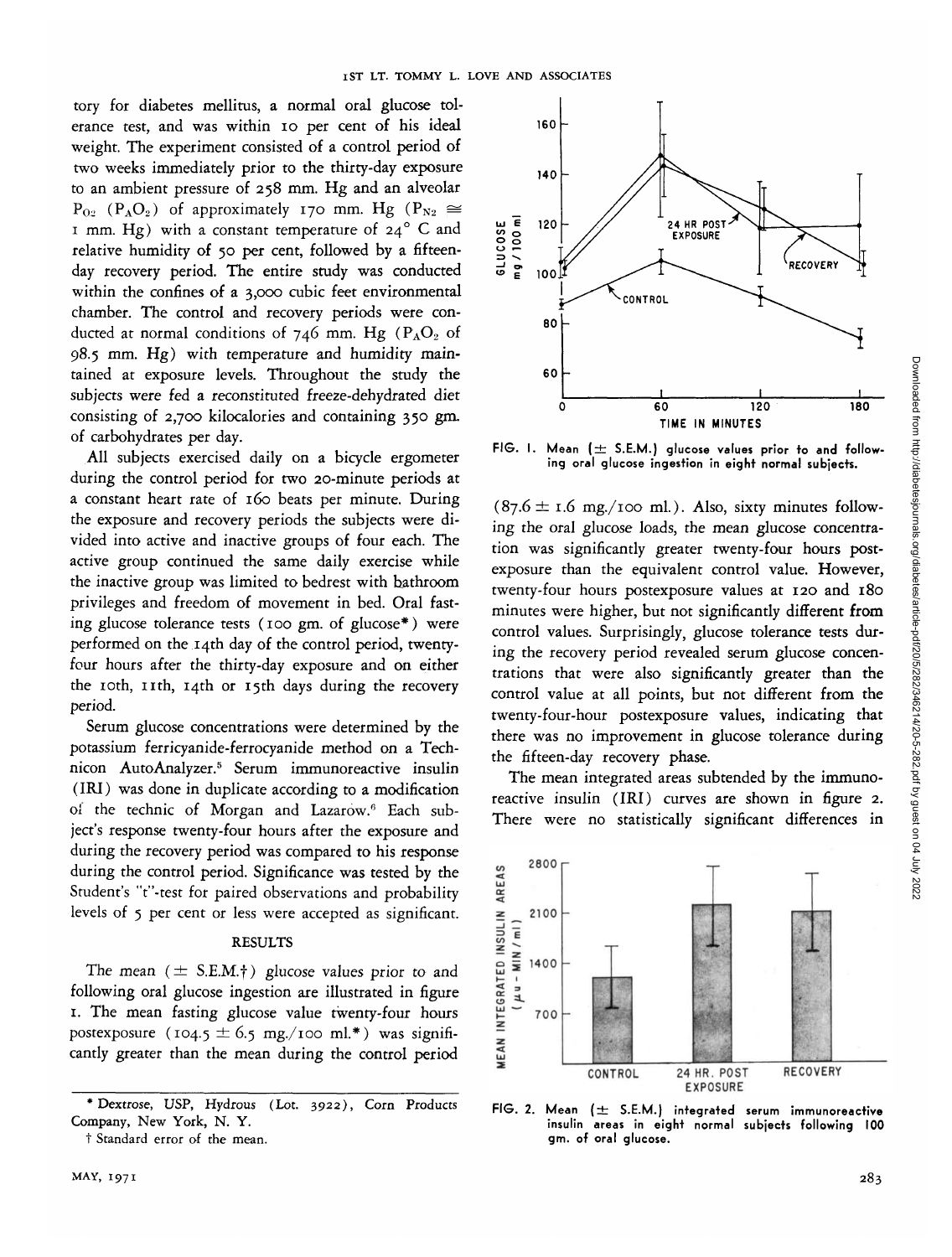tory for diabetes mellitus, a normal oral glucose tolerance test, and was within 10 per cent of his ideal weight. The experiment consisted of a control period of two weeks immediately prior to the thirty-day exposure to an ambient pressure of 258 mm. Hg and an alveolar  $P_{0.2}$  (P<sub>A</sub>O<sub>2</sub>) of approximately 170 mm. Hg (P<sub>N2</sub>  $\cong$ 1 mm. Hg) with a constant temperature of  $24^{\circ}$  C and relative humidity of 50 per cent, followed by a fifteenday recovery period. The entire study was conducted within the confines of a 3,000 cubic feet environmental chamber. The control and recovery periods were conducted at normal conditions of 746 mm. Hg ( $P_AO_2$  of 98.5 mm. Hg) with temperature and humidity maintained at exposure levels. Throughout the study the subjects were fed a reconstituted freeze-dehydrated diet consisting of 2,700 kilocalories and containing 350 gm. of carbohydrates per day.

All subjects exercised daily on a bicycle ergometer during the control period for two 20-minute periods at a constant heart rate of 160 beats per minute. During the exposure and recovery periods the subjects were divided into active and inactive groups of four each. The active group continued the same daily exercise while the inactive group was limited to bedrest with bathroom privileges and freedom of movement in bed. Oral fasting glucose tolerance tests (100 gm. of glucose\*) were performed on the 14th day of the control period, twentyfour hours after the thirty-day exposure and on either the 10th, 11th, 14th or 15th days during the recovery period.

Serum glucose concentrations were determined by the potassium ferricyanide-ferrocyanide method on a Technicon AutoAnalyzer.5 Serum immunoreactive insulin (IRI) was done in duplicate according to a modification of the technic of Morgan and Lazarow.<sup>6</sup> Each subject's response twenty-four hours after the exposure and during the recovery period was compared to his response during the control period. Significance was tested by the Student's "t"-test for paired observations and probability levels of 5 per cent or less were accepted as significant.

## **RESULTS**

The mean  $(\pm$  S.E.M.<sup>†</sup>) glucose values prior to and following oral glucose ingestion are illustrated in figure 1. The mean fasting glucose value twenty-four hours postexposure (104.5  $\pm$  6.5 mg./100 ml.\*) was significantly greater than the mean during the control period



FIG. I. Mean ( $\pm$  S.E.M.) glucose values prior to and follow**ing oral glucose ingestion in eight normal subjects.**

 $(87.6 \pm 1.6 \text{ mg./100 ml.})$ . Also, sixty minutes following the oral glucose loads, the mean glucose concentration was significantly greater twenty-four hours postexposure than the equivalent control value. However, twenty-four hours postexposure values at 120 and 180 minutes were higher, but not significantly different **from** control values. Surprisingly, glucose tolerance tests during the recovery period revealed serum glucose concentrations that were also significantly greater than the control value at all points, but not different from the twenty-four-hour postexposure values, indicating that there was no improvement in glucose tolerance during the fifteen-day recovery phase.

The mean integrated areas subtended by the immunoreactive insulin (IRI) curves are shown in figure 2. There were no statistically significant differences in





<sup>•</sup>Dextrose, USP, Hydrous (Lot. 3922), Corn Products Company, New York, N. Y.

t Standard error of the mean.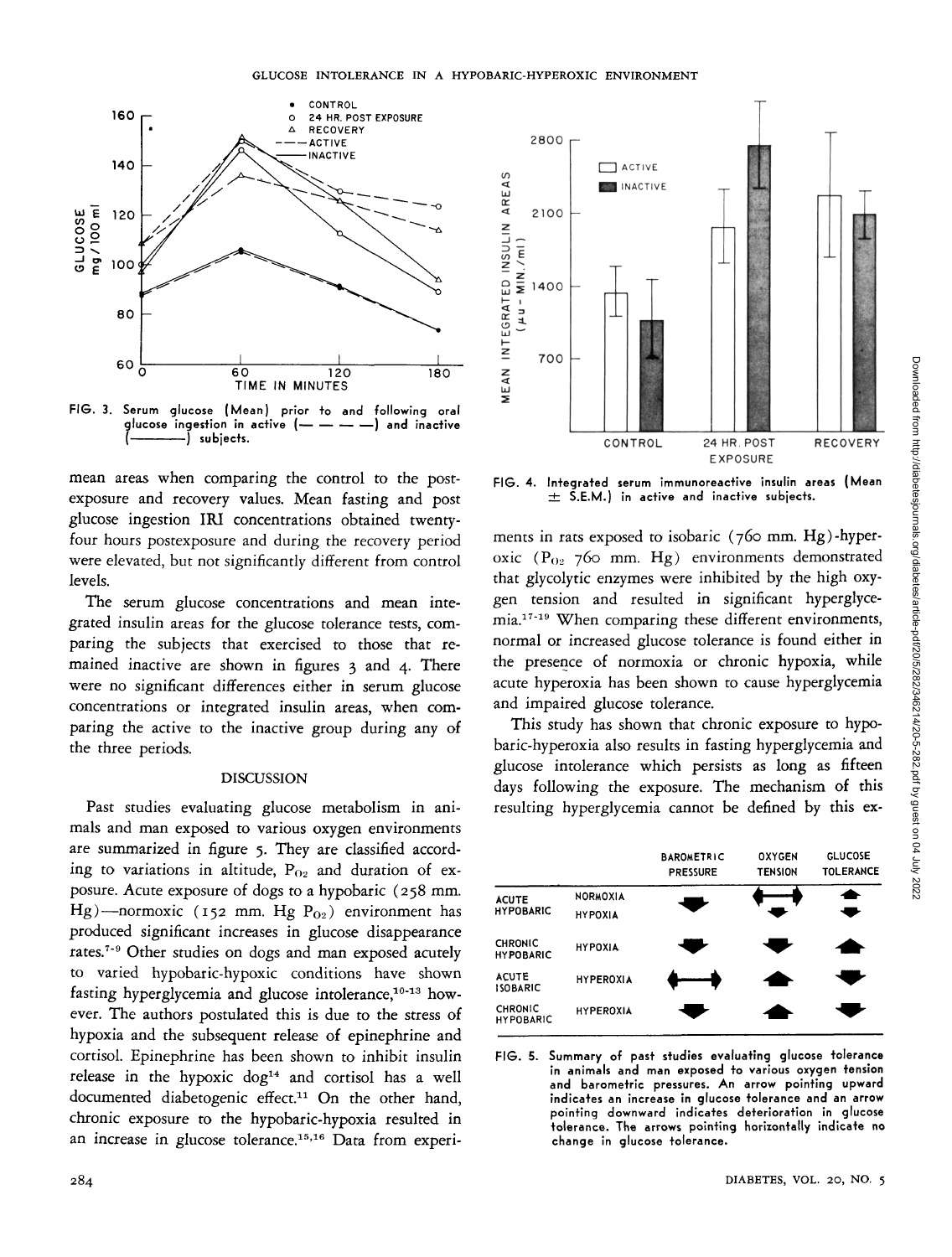

FIG. 3. Serum glucose (Mean) prior to and following oral<br>glucose ingestion in active  $(- - - - -)$  and inactive glucose ingestion in active (--) subjects.

mean areas when comparing the control to the postexposure and recovery values. Mean fasting and post glucose ingestion IRI concentrations obtained twentyfour hours postexposure and during the recovery period were elevated, but not significantly different from control levels.

The serum glucose concentrations and mean integrated insulin areas for the glucose tolerance tests, comparing the subjects that exercised to those that remained inactive are shown in figures 3 and 4. There were no significant differences either in serum glucose concentrations or integrated insulin areas, when comparing the active to the inactive group during any of the three periods.

#### DISCUSSION

Past studies evaluating glucose metabolism in animals and man exposed to various oxygen environments are summarized in figure 5. They are classified according to variations in altitude,  $P_{02}$  and duration of exposure. Acute exposure of dogs to a hypobaric (258 mm. Hg)—normoxic (152 mm. Hg  $P_{02}$ ) environment has produced significant increases in glucose disappearance rates.<sup>7-9</sup> Other studies on dogs and man exposed acutely to varied hypobaric-hypoxic conditions have shown fasting hyperglycemia and glucose intolerance,<sup>10-13</sup> however. The authors postulated this is due to the stress of hypoxia and the subsequent release of epinephrine and cortisol. Epinephrine has been shown to inhibit insulin release in the hypoxic dog<sup>14</sup> and cortisol has a well documented diabetogenic effect.<sup>11</sup> On the other hand, chronic exposure to the hypobaric-hypoxia resulted in an increase in glucose tolerance.<sup>15,16</sup> Data from experi-



FIG. 4. Integrated serum immunoreactive insulin areas (Mean  $\pm$  S.E.M.) in active and inactive subjects.

ments in rats exposed to isobaric (760 mm. Hg)-hyperoxic  $(P_{02} 760$  mm. Hg) environments demonstrated that glycolytic enzymes were inhibited by the high oxygen tension and resulted in significant hyperglycemia.<sup>17-19</sup> When comparing these different environments, normal or increased glucose tolerance is found either in the presence of normoxia or chronic hypoxia, while acute hyperoxia has been shown to cause hyperglycemia and impaired glucose tolerance.

This study has shown that chronic exposure to hypobaric-hyperoxia also results in fasting hyperglycemia and glucose intolerance which persists as long as fifteen days following the exposure. The mechanism of this resulting hyperglycemia cannot be defined by this ex-

|                                    |                                   | <b>BAROMETRIC</b><br><b>PRESSURE</b> | <b>OXYGEN</b><br><b>TENSION</b> | <b>GLUCOSE</b><br><b>TOLERANCE</b> |
|------------------------------------|-----------------------------------|--------------------------------------|---------------------------------|------------------------------------|
| <b>ACUTE</b><br><b>HYPOBARIC</b>   | <b>NORMOXIA</b><br><b>HYPOXIA</b> |                                      |                                 | ۰<br>۰                             |
| <b>CHRONIC</b><br><b>HYPOBARIC</b> | <b>HYPOXIA</b>                    | ▰                                    | ▰                               |                                    |
| <b>ACUTE</b><br><b>ISOBARIC</b>    | <b>HYPEROXIA</b>                  |                                      | $\overline{\phantom{a}}$        |                                    |
| <b>CHRONIC</b><br><b>HYPOBARIC</b> | <b>HYPEROXIA</b>                  |                                      |                                 |                                    |

FIG. 5. Summary of past studies evaluating glucose tolerance in animals and man exposed to various oxygen tension and barometric pressures. An arrow pointing upward indicates an increase in glucose tolerance and an arrow pointing downward indicates deterioration in glucose tolerance. The arrows pointing horizontally indicate no change in glucose tolerance.